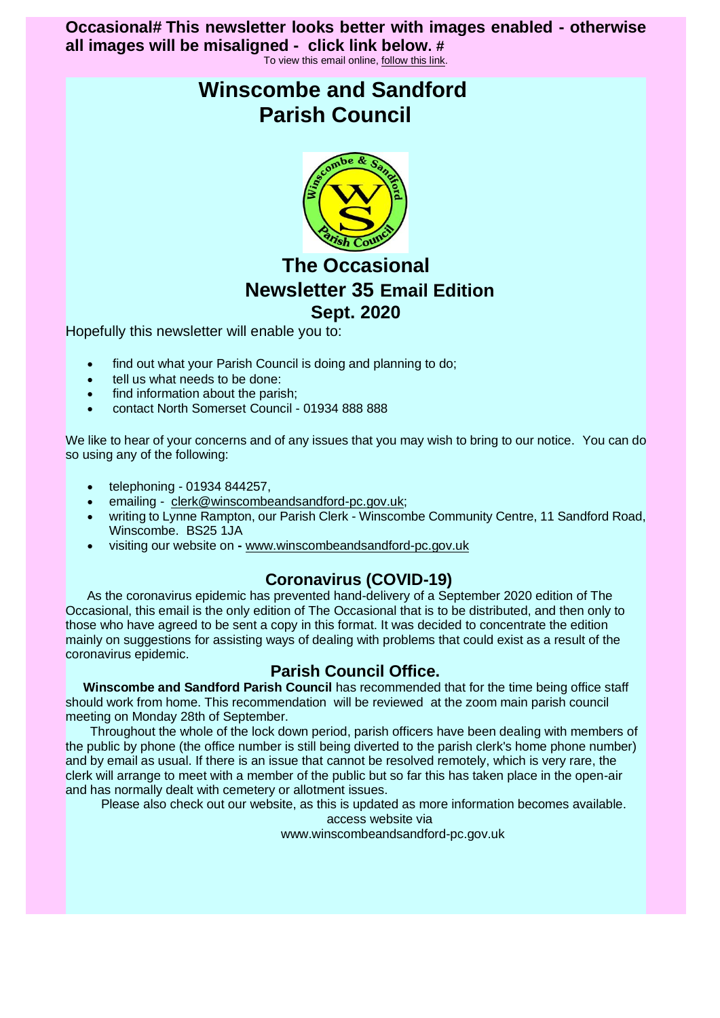### **Occasional# This newsletter looks better with images enabled - otherwise all images will be misaligned - click link below. #**

To view this email online[, follow this link.](https://s6.newzapp.co.uk/t/gtp/OSwxNDQ2NjQxNzI3LDM=/)

# **Winscombe and Sandford Parish Council**



# **The Occasional Newsletter 35 Email Edition Sept. 2020**

Hopefully this newsletter will enable you to:

- find out what your Parish Council is doing and planning to do;
- tell us what needs to be done:
- find information about the parish:
- contact North Somerset Council 01934 888 888

We like to hear of your concerns and of any issues that you may wish to bring to our notice. You can do so using any of the following:

- telephoning 01934 844257,
- emailing [clerk@winscombeandsandford-pc.gov.uk;](https://s6.newzapp.co.uk/t/gtl/MTQ2MjgxMTcsMTQ0NjY0MTcyNywxNA==)
- writing to Lynne Rampton, our Parish Clerk Winscombe Community Centre, 11 Sandford Road, Winscombe. BS25 1JA
- visiting our website on **-** [www.winscombeandsandford-pc.gov.uk](https://s6.newzapp.co.uk/t/gtl/MTQ2MjgxMTgsMTQ0NjY0MTcyNywxNA==)

# **Coronavirus (COVID-19)**

 As the coronavirus epidemic has prevented hand-delivery of a September 2020 edition of The Occasional, this email is the only edition of The Occasional that is to be distributed, and then only to those who have agreed to be sent a copy in this format. It was decided to concentrate the edition mainly on suggestions for assisting ways of dealing with problems that could exist as a result of the coronavirus epidemic.

### **Parish Council Office.**

 **Winscombe and Sandford Parish Council** has recommended that for the time being office staff should work from home. This recommendation will be reviewed at the zoom main parish council meeting on Monday 28th of September.

Throughout the whole of the lock down period, parish officers have been dealing with members of the public by phone (the office number is still being diverted to the parish clerk's home phone number) and by email as usual. If there is an issue that cannot be resolved remotely, which is very rare, the clerk will arrange to meet with a member of the public but so far this has taken place in the open-air and has normally dealt with cemetery or allotment issues.

Please also check out our website, as this is updated as more information becomes available.

access website via

www.winscombeandsandford-pc.gov.uk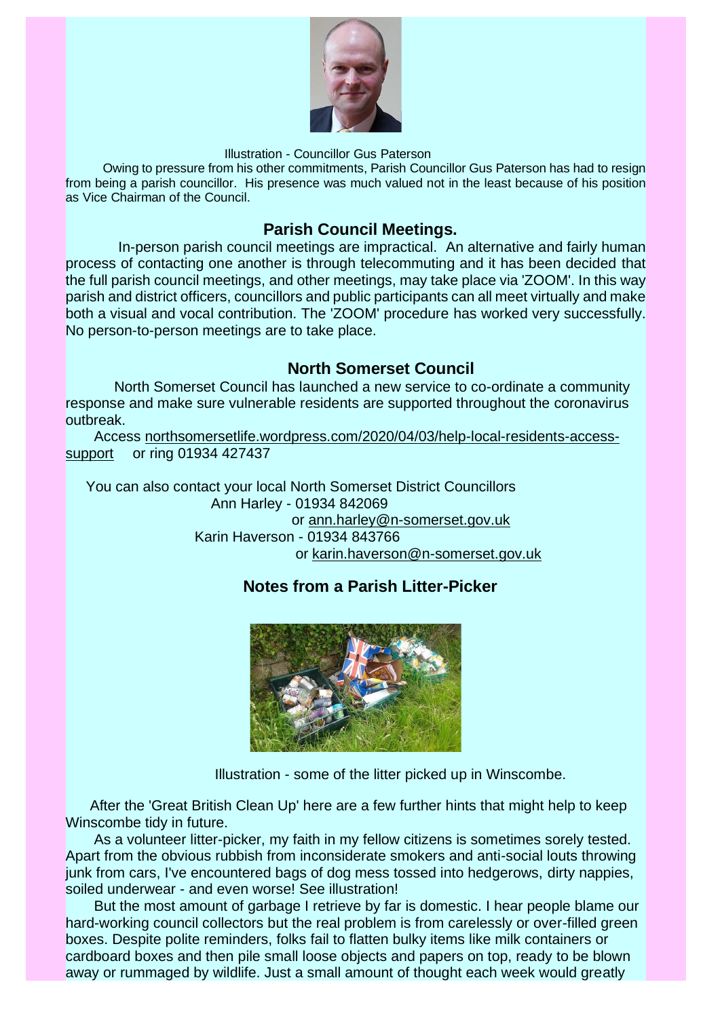

Illustration - Councillor Gus Paterson

Owing to pressure from his other commitments, Parish Councillor Gus Paterson has had to resign from being a parish councillor. His presence was much valued not in the least because of his position as Vice Chairman of the Council.

### **Parish Council Meetings.**

In-person parish council meetings are impractical. An alternative and fairly human process of contacting one another is through telecommuting and it has been decided that the full parish council meetings, and other meetings, may take place via 'ZOOM'. In this way parish and district officers, councillors and public participants can all meet virtually and make both a visual and vocal contribution. The 'ZOOM' procedure has worked very successfully. No person-to-person meetings are to take place.

### **North Somerset Council**

North Somerset Council has launched a new service to co-ordinate a community response and make sure vulnerable residents are supported throughout the coronavirus outbreak.

Access [northsomersetlife.wordpress.com/2020/04/03/help-local-residents-access](https://s6.newzapp.co.uk/t/gtl/MTQ2MjgxMTksMTQ0NjY0MTcyNywxNA==)[support](https://s6.newzapp.co.uk/t/gtl/MTQ2MjgxMTksMTQ0NjY0MTcyNywxNA==) or ring 01934 427437

You can also contact your local North Somerset District Councillors Ann Harley - 01934 842069 or [ann.harley@n-somerset.gov.uk](https://s6.newzapp.co.uk/t/gtl/MTQ2MjgxMjAsMTQ0NjY0MTcyNywxNA==) Karin Haverson - 01934 843766 or [karin.haverson@n-somerset.gov.uk](https://s6.newzapp.co.uk/t/gtl/MTQ2MjgxMjEsMTQ0NjY0MTcyNywxNA==)

# **Notes from a Parish Litter-Picker**



Illustration - some of the litter picked up in Winscombe.

 After the 'Great British Clean Up' here are a few further hints that might help to keep Winscombe tidy in future.

 As a volunteer litter-picker, my faith in my fellow citizens is sometimes sorely tested. Apart from the obvious rubbish from inconsiderate smokers and anti-social louts throwing junk from cars, I've encountered bags of dog mess tossed into hedgerows, dirty nappies, soiled underwear - and even worse! See illustration!

 But the most amount of garbage I retrieve by far is domestic. I hear people blame our hard-working council collectors but the real problem is from carelessly or over-filled green boxes. Despite polite reminders, folks fail to flatten bulky items like milk containers or cardboard boxes and then pile small loose objects and papers on top, ready to be blown away or rummaged by wildlife. Just a small amount of thought each week would greatly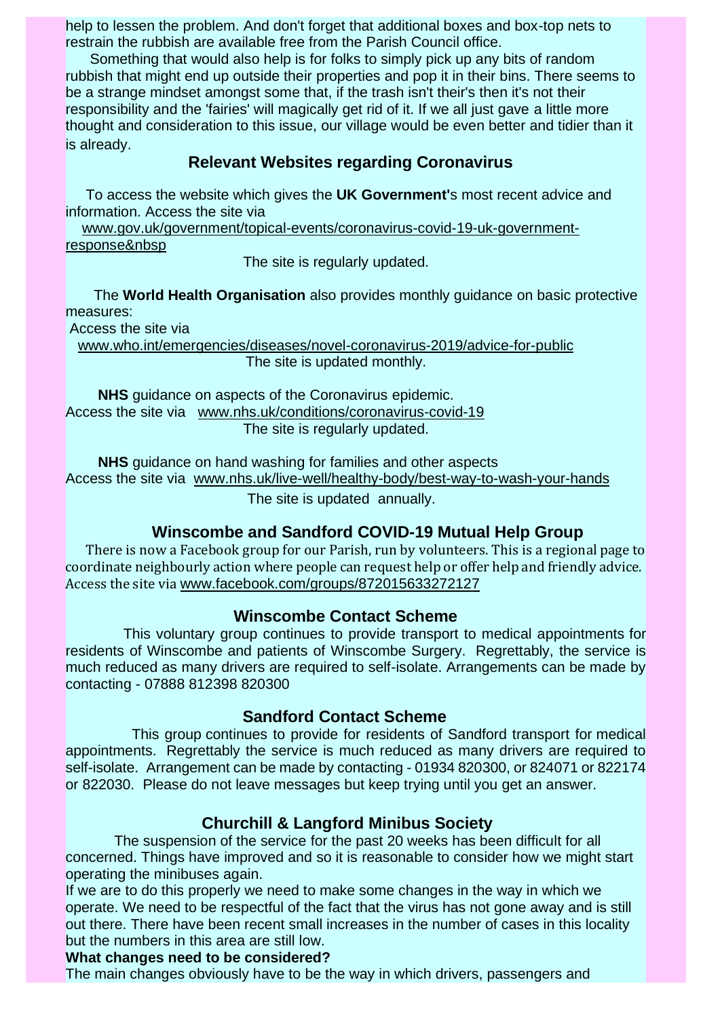help to lessen the problem. And don't forget that additional boxes and box-top nets to restrain the rubbish are available free from the Parish Council office.

 Something that would also help is for folks to simply pick up any bits of random rubbish that might end up outside their properties and pop it in their bins. There seems to be a strange mindset amongst some that, if the trash isn't their's then it's not their responsibility and the 'fairies' will magically get rid of it. If we all just gave a little more thought and consideration to this issue, our village would be even better and tidier than it is already.

### **Relevant Websites regarding Coronavirus**

To access the website which gives the **UK Government'**s most recent advice and information. Access the site via

 [www.gov.uk/government/topical-events/coronavirus-covid-19-uk-government](https://s6.newzapp.co.uk/t/gtl/MTQ2MjgxMjIsMTQ0NjY0MTcyNywxNA==)[response&nbsp](https://s6.newzapp.co.uk/t/gtl/MTQ2MjgxMjIsMTQ0NjY0MTcyNywxNA==)

The site is regularly updated.

The **World Health Organisation** also provides monthly guidance on basic protective measures:

Access the site via

[www.who.int/emergencies/diseases/novel-coronavirus-2019/advice-for-public](https://s6.newzapp.co.uk/t/gtl/MTQ2MjgxMjMsMTQ0NjY0MTcyNywxNA==) The site is updated monthly.

**NHS** guidance on aspects of the Coronavirus epidemic. Access the site via [www.nhs.uk/conditions/coronavirus-covid-19](https://s6.newzapp.co.uk/t/gtl/MTQ2MjgxMjQsMTQ0NjY0MTcyNywxNA==) The site is regularly updated.

 **NHS** guidance on hand washing for families and other aspects Access the site via [www.nhs.uk/live-well/healthy-body/best-way-to-wash-your-hands](https://s6.newzapp.co.uk/t/gtl/MTQ2MjgxMjUsMTQ0NjY0MTcyNywxNA==) The site is updated annually.

### **Winscombe and Sandford COVID-19 Mutual Help Group**

There is now a Facebook group for our Parish, run by volunteers. This is a regional page to coordinate neighbourly action where people can request help or offer help and friendly advice. Access the site via [www.facebook.com/groups/872015633272127](https://s6.newzapp.co.uk/t/gtl/MTQ2MjgxMjYsMTQ0NjY0MTcyNywxNA==)

### **Winscombe Contact Scheme**

This voluntary group continues to provide transport to medical appointments for residents of Winscombe and patients of Winscombe Surgery. Regrettably, the service is much reduced as many drivers are required to self-isolate. Arrangements can be made by contacting - 07888 812398 820300

### **Sandford Contact Scheme**

This group continues to provide for residents of Sandford transport for medical appointments. Regrettably the service is much reduced as many drivers are required to self-isolate. Arrangement can be made by contacting - 01934 820300, or 824071 or 822174 or 822030. Please do not leave messages but keep trying until you get an answer.

### **Churchill & Langford Minibus Society**

The suspension of the service for the past 20 weeks has been difficult for all concerned. Things have improved and so it is reasonable to consider how we might start operating the minibuses again.

If we are to do this properly we need to make some changes in the way in which we operate. We need to be respectful of the fact that the virus has not gone away and is still out there. There have been recent small increases in the number of cases in this locality but the numbers in this area are still low.

### **What changes need to be considered?**

The main changes obviously have to be the way in which drivers, passengers and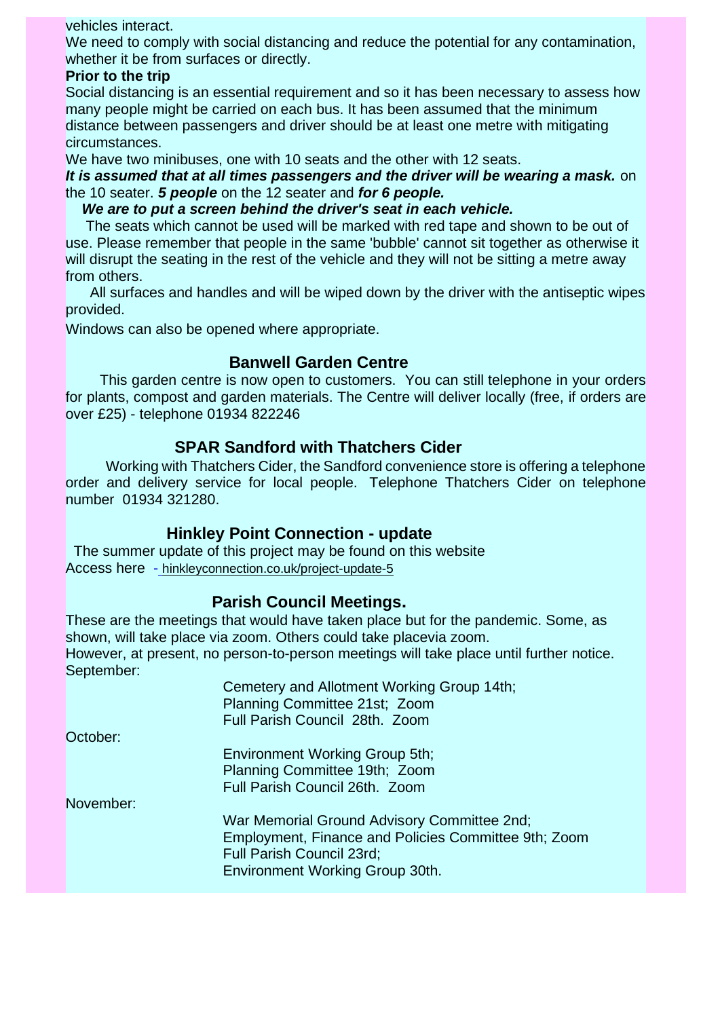#### vehicles interact.

We need to comply with social distancing and reduce the potential for any contamination, whether it be from surfaces or directly.

#### **Prior to the trip**

Social distancing is an essential requirement and so it has been necessary to assess how many people might be carried on each bus. It has been assumed that the minimum distance between passengers and driver should be at least one metre with mitigating circumstances.

We have two minibuses, one with 10 seats and the other with 12 seats.

*It is assumed that at all times passengers and the driver will be wearing a mask.* on the 10 seater. *5 people* on the 12 seater and *for 6 people.*

*We are to put a screen behind the driver's seat in each vehicle.*

The seats which cannot be used will be marked with red tape and shown to be out of use. Please remember that people in the same 'bubble' cannot sit together as otherwise it will disrupt the seating in the rest of the vehicle and they will not be sitting a metre away from others.

All surfaces and handles and will be wiped down by the driver with the antiseptic wipes provided.

Windows can also be opened where appropriate.

### **Banwell Garden Centre**

This garden centre is now open to customers. You can still telephone in your orders for plants, compost and garden materials. The Centre will deliver locally (free, if orders are over £25) - telephone 01934 822246

### **SPAR Sandford with Thatchers Cider**

Working with Thatchers Cider, the Sandford convenience store is offering a telephone order and delivery service for local people. Telephone Thatchers Cider on telephone number 01934 321280.

### **Hinkley Point Connection - update**

The summer update of this project may be found on this website Access here [-](https://s6.newzapp.co.uk/t/gtl/MTQ2MjgxMjcsMTQ0NjY0MTcyNywxNA==) [hinkleyconnection.co.uk/project-update-5](https://s6.newzapp.co.uk/t/gtl/MTQ2MjgxMjgsMTQ0NjY0MTcyNywxNA==)

### **Parish Council Meetings.**

These are the meetings that would have taken place but for the pandemic. Some, as shown, will take place via zoom. Others could take placevia zoom. However, at present, no person-to-person meetings will take place until further notice. September:

|           | Cemetery and Allotment Working Group 14th;<br>Planning Committee 21st; Zoom                                                                                         |
|-----------|---------------------------------------------------------------------------------------------------------------------------------------------------------------------|
|           | Full Parish Council 28th. Zoom                                                                                                                                      |
| October:  |                                                                                                                                                                     |
|           | <b>Environment Working Group 5th;</b>                                                                                                                               |
|           | Planning Committee 19th; Zoom                                                                                                                                       |
|           | Full Parish Council 26th. Zoom                                                                                                                                      |
| November: |                                                                                                                                                                     |
|           | War Memorial Ground Advisory Committee 2nd;<br>Employment, Finance and Policies Committee 9th; Zoom<br>Full Parish Council 23rd;<br>Environment Working Group 30th. |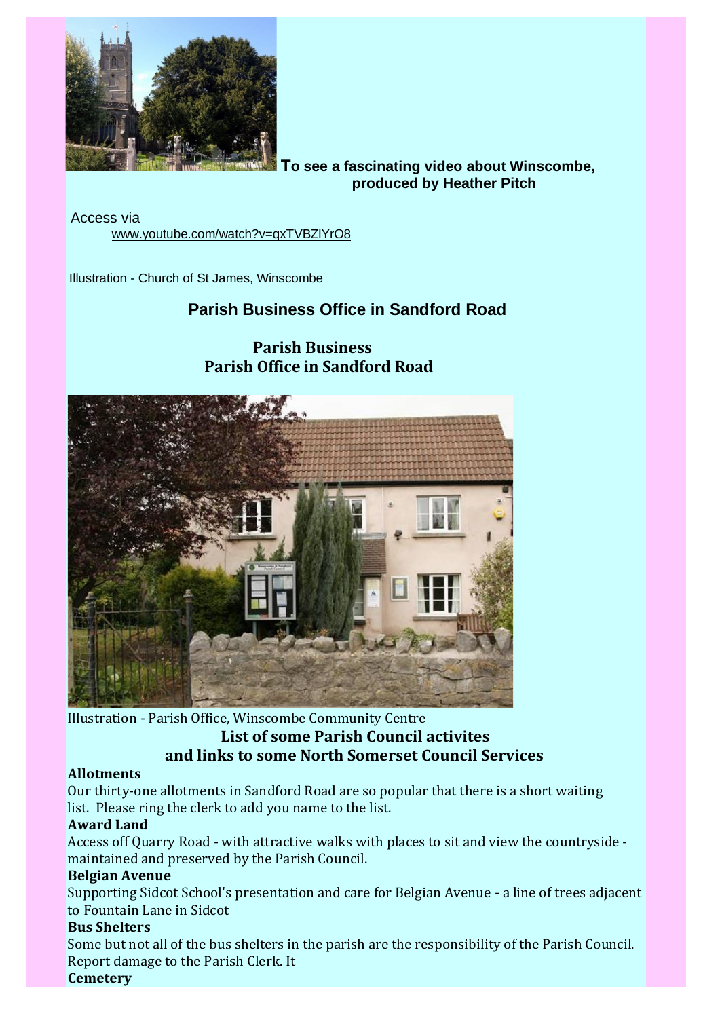

**To see a fascinating video about Winscombe, produced by Heather Pitch**

Access via [www.youtube.com/watch?v=qxTVBZlYrO8](https://s6.newzapp.co.uk/t/gtl/MTQ2MjgxMjksMTQ0NjY0MTcyNywxNA==)

Illustration - Church of St James, Winscombe

# **Parish Business Office in Sandford Road**

 **Parish Business Parish Office in Sandford Road**

### Illustration - Parish Office, Winscombe Community Centre **List of some Parish Council activites and links to some North Somerset Council Services**

### **Allotments**

Our thirty-one allotments in Sandford Road are so popular that there is a short waiting list. Please ring the clerk to add you name to the list.

### **Award Land**

Access off Quarry Road - with attractive walks with places to sit and view the countryside maintained and preserved by the Parish Council.

### **Belgian Avenue**

Supporting Sidcot School's presentation and care for Belgian Avenue - a line of trees adjacent to Fountain Lane in Sidcot

### **Bus Shelters**

Some but not all of the bus shelters in the parish are the responsibility of the Parish Council. Report damage to the Parish Clerk. It **Cemetery**